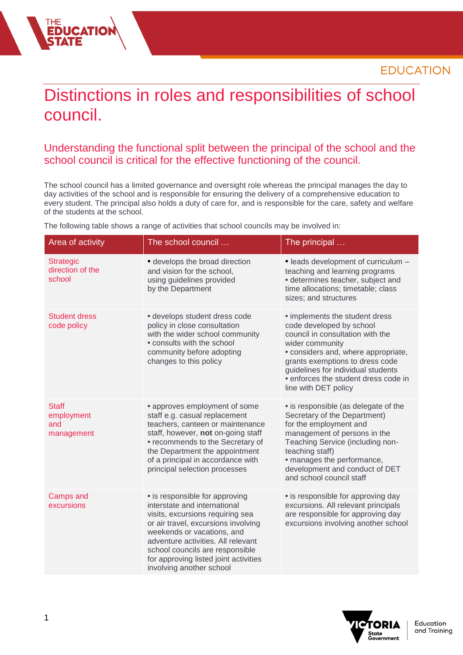## Distinctions in roles and responsibilities of school council.

## Understanding the functional split between the principal of the school and the school council is critical for the effective functioning of the council.

The school council has a limited governance and oversight role whereas the principal manages the day to day activities of the school and is responsible for ensuring the delivery of a comprehensive education to every student. The principal also holds a duty of care for, and is responsible for the care, safety and welfare of the students at the school.

The following table shows a range of activities that school councils may be involved in:

| Area of activity                                | The school council                                                                                                                                                                                                                                                                                                    | The principal                                                                                                                                                                                                                                                                                     |
|-------------------------------------------------|-----------------------------------------------------------------------------------------------------------------------------------------------------------------------------------------------------------------------------------------------------------------------------------------------------------------------|---------------------------------------------------------------------------------------------------------------------------------------------------------------------------------------------------------------------------------------------------------------------------------------------------|
| <b>Strategic</b><br>direction of the<br>school  | · develops the broad direction<br>and vision for the school,<br>using guidelines provided<br>by the Department                                                                                                                                                                                                        | · leads development of curriculum -<br>teaching and learning programs<br>• determines teacher, subject and<br>time allocations; timetable; class<br>sizes; and structures                                                                                                                         |
| <b>Student dress</b><br>code policy             | • develops student dress code<br>policy in close consultation<br>with the wider school community<br>• consults with the school<br>community before adopting<br>changes to this policy                                                                                                                                 | • implements the student dress<br>code developed by school<br>council in consultation with the<br>wider community<br>· considers and, where appropriate,<br>grants exemptions to dress code<br>guidelines for individual students<br>· enforces the student dress code in<br>line with DET policy |
| <b>Staff</b><br>employment<br>and<br>management | • approves employment of some<br>staff e.g. casual replacement<br>teachers, canteen or maintenance<br>staff, however, not on-going staff<br>• recommends to the Secretary of<br>the Department the appointment<br>of a principal in accordance with<br>principal selection processes                                  | · is responsible (as delegate of the<br>Secretary of the Department)<br>for the employment and<br>management of persons in the<br>Teaching Service (including non-<br>teaching staff)<br>• manages the performance,<br>development and conduct of DET<br>and school council staff                 |
| Camps and<br>excursions                         | • is responsible for approving<br>interstate and international<br>visits, excursions requiring sea<br>or air travel, excursions involving<br>weekends or vacations, and<br>adventure activities. All relevant<br>school councils are responsible<br>for approving listed joint activities<br>involving another school | • is responsible for approving day<br>excursions. All relevant principals<br>are responsible for approving day<br>excursions involving another school                                                                                                                                             |



**EDUCATIO**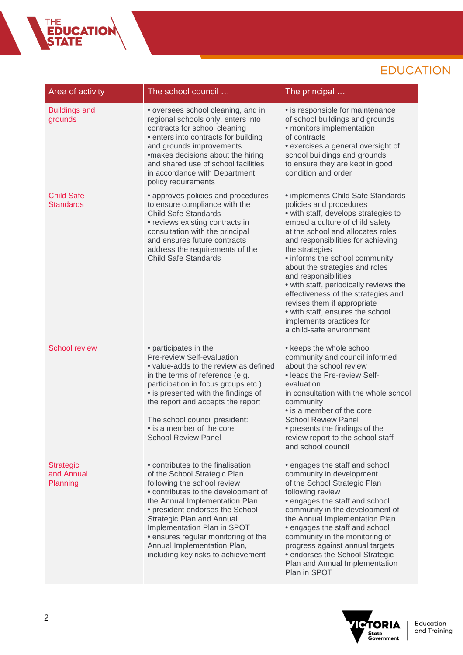## **EDUCATION**

| Area of activity                           | The school council                                                                                                                                                                                                                                                                                                                                                                          | The principal                                                                                                                                                                                                                                                                                                                                                                                                                                                                                                                                |
|--------------------------------------------|---------------------------------------------------------------------------------------------------------------------------------------------------------------------------------------------------------------------------------------------------------------------------------------------------------------------------------------------------------------------------------------------|----------------------------------------------------------------------------------------------------------------------------------------------------------------------------------------------------------------------------------------------------------------------------------------------------------------------------------------------------------------------------------------------------------------------------------------------------------------------------------------------------------------------------------------------|
| <b>Buildings and</b><br>grounds            | • oversees school cleaning, and in<br>regional schools only, enters into<br>contracts for school cleaning<br>• enters into contracts for building<br>and grounds improvements<br>•makes decisions about the hiring<br>and shared use of school facilities<br>in accordance with Department<br>policy requirements                                                                           | • is responsible for maintenance<br>of school buildings and grounds<br>• monitors implementation<br>of contracts<br>• exercises a general oversight of<br>school buildings and grounds<br>to ensure they are kept in good<br>condition and order                                                                                                                                                                                                                                                                                             |
| <b>Child Safe</b><br><b>Standards</b>      | • approves policies and procedures<br>to ensure compliance with the<br><b>Child Safe Standards</b><br>• reviews existing contracts in<br>consultation with the principal<br>and ensures future contracts<br>address the requirements of the<br><b>Child Safe Standards</b>                                                                                                                  | • implements Child Safe Standards<br>policies and procedures<br>• with staff, develops strategies to<br>embed a culture of child safety<br>at the school and allocates roles<br>and responsibilities for achieving<br>the strategies<br>• informs the school community<br>about the strategies and roles<br>and responsibilities<br>• with staff, periodically reviews the<br>effectiveness of the strategies and<br>revises them if appropriate<br>• with staff, ensures the school<br>implements practices for<br>a child-safe environment |
| <b>School review</b>                       | • participates in the<br>Pre-review Self-evaluation<br>• value-adds to the review as defined<br>in the terms of reference (e.g.<br>participation in focus groups etc.)<br>• is presented with the findings of<br>the report and accepts the report<br>The school council president:<br>• is a member of the core<br><b>School Review Panel</b>                                              | • keeps the whole school<br>community and council informed<br>about the school review<br>• leads the Pre-review Self-<br>evaluation<br>in consultation with the whole school<br>community<br>• is a member of the core<br><b>School Review Panel</b><br>• presents the findings of the<br>review report to the school staff<br>and school council                                                                                                                                                                                            |
| <b>Strategic</b><br>and Annual<br>Planning | • contributes to the finalisation<br>of the School Strategic Plan<br>following the school review<br>• contributes to the development of<br>the Annual Implementation Plan<br>• president endorses the School<br><b>Strategic Plan and Annual</b><br>Implementation Plan in SPOT<br>• ensures regular monitoring of the<br>Annual Implementation Plan,<br>including key risks to achievement | • engages the staff and school<br>community in development<br>of the School Strategic Plan<br>following review<br>• engages the staff and school<br>community in the development of<br>the Annual Implementation Plan<br>• engages the staff and school<br>community in the monitoring of<br>progress against annual targets<br>• endorses the School Strategic<br>Plan and Annual Implementation<br>Plan in SPOT                                                                                                                            |



THE<br>**EDUCATION**